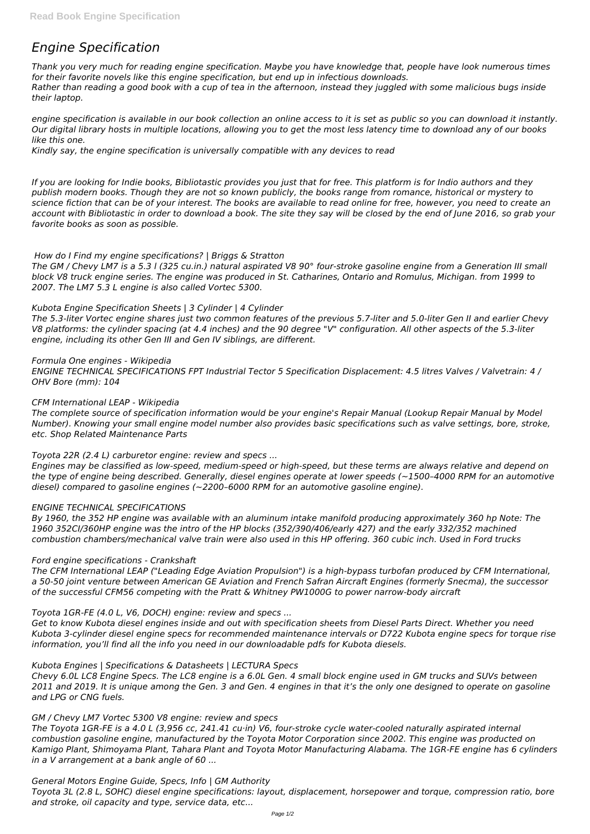# *Engine Specification*

*Thank you very much for reading engine specification. Maybe you have knowledge that, people have look numerous times for their favorite novels like this engine specification, but end up in infectious downloads. Rather than reading a good book with a cup of tea in the afternoon, instead they juggled with some malicious bugs inside their laptop.*

*engine specification is available in our book collection an online access to it is set as public so you can download it instantly. Our digital library hosts in multiple locations, allowing you to get the most less latency time to download any of our books like this one.*

*Kindly say, the engine specification is universally compatible with any devices to read*

*If you are looking for Indie books, Bibliotastic provides you just that for free. This platform is for Indio authors and they publish modern books. Though they are not so known publicly, the books range from romance, historical or mystery to science fiction that can be of your interest. The books are available to read online for free, however, you need to create an account with Bibliotastic in order to download a book. The site they say will be closed by the end of June 2016, so grab your favorite books as soon as possible.*

*How do I Find my engine specifications? | Briggs & Stratton*

*The GM / Chevy LM7 is a 5.3 l (325 cu.in.) natural aspirated V8 90° four-stroke gasoline engine from a Generation III small block V8 truck engine series. The engine was produced in St. Catharines, Ontario and Romulus, Michigan. from 1999 to 2007. The LM7 5.3 L engine is also called Vortec 5300.*

## *Kubota Engine Specification Sheets | 3 Cylinder | 4 Cylinder*

*The 5.3-liter Vortec engine shares just two common features of the previous 5.7-liter and 5.0-liter Gen II and earlier Chevy V8 platforms: the cylinder spacing (at 4.4 inches) and the 90 degree "V" configuration. All other aspects of the 5.3-liter engine, including its other Gen III and Gen IV siblings, are different.*

## *Formula One engines - Wikipedia*

*ENGINE TECHNICAL SPECIFICATIONS FPT Industrial Tector 5 Specification Displacement: 4.5 litres Valves / Valvetrain: 4 / OHV Bore (mm): 104*

## *CFM International LEAP - Wikipedia*

*The complete source of specification information would be your engine's Repair Manual (Lookup Repair Manual by Model Number). Knowing your small engine model number also provides basic specifications such as valve settings, bore, stroke, etc. Shop Related Maintenance Parts*

*Toyota 22R (2.4 L) carburetor engine: review and specs ...*

*Engines may be classified as low-speed, medium-speed or high-speed, but these terms are always relative and depend on the type of engine being described. Generally, diesel engines operate at lower speeds (~1500–4000 RPM for an automotive diesel) compared to gasoline engines (~2200–6000 RPM for an automotive gasoline engine).*

## *ENGINE TECHNICAL SPECIFICATIONS*

*By 1960, the 352 HP engine was available with an aluminum intake manifold producing approximately 360 hp Note: The 1960 352CI/360HP engine was the intro of the HP blocks (352/390/406/early 427) and the early 332/352 machined combustion chambers/mechanical valve train were also used in this HP offering. 360 cubic inch. Used in Ford trucks*

## *Ford engine specifications - Crankshaft*

*The CFM International LEAP ("Leading Edge Aviation Propulsion") is a high-bypass turbofan produced by CFM International, a 50-50 joint venture between American GE Aviation and French Safran Aircraft Engines (formerly Snecma), the successor of the successful CFM56 competing with the Pratt & Whitney PW1000G to power narrow-body aircraft*

# *Toyota 1GR-FE (4.0 L, V6, DOCH) engine: review and specs ...*

*Get to know Kubota diesel engines inside and out with specification sheets from Diesel Parts Direct. Whether you need*

*Kubota 3-cylinder diesel engine specs for recommended maintenance intervals or D722 Kubota engine specs for torque rise information, you'll find all the info you need in our downloadable pdfs for Kubota diesels.*

*Kubota Engines | Specifications & Datasheets | LECTURA Specs*

*Chevy 6.0L LC8 Engine Specs. The LC8 engine is a 6.0L Gen. 4 small block engine used in GM trucks and SUVs between 2011 and 2019. It is unique among the Gen. 3 and Gen. 4 engines in that it's the only one designed to operate on gasoline and LPG or CNG fuels.*

*GM / Chevy LM7 Vortec 5300 V8 engine: review and specs*

*The Toyota 1GR-FE is a 4.0 L (3,956 cc, 241.41 cu·in) V6, four-stroke cycle water-cooled naturally aspirated internal combustion gasoline engine, manufactured by the Toyota Motor Corporation since 2002. This engine was producted on Kamigo Plant, Shimoyama Plant, Tahara Plant and Toyota Motor Manufacturing Alabama. The 1GR-FE engine has 6 cylinders in a V arrangement at a bank angle of 60 ...*

*General Motors Engine Guide, Specs, Info | GM Authority Toyota 3L (2.8 L, SOHC) diesel engine specifications: layout, displacement, horsepower and torque, compression ratio, bore and stroke, oil capacity and type, service data, etc...*